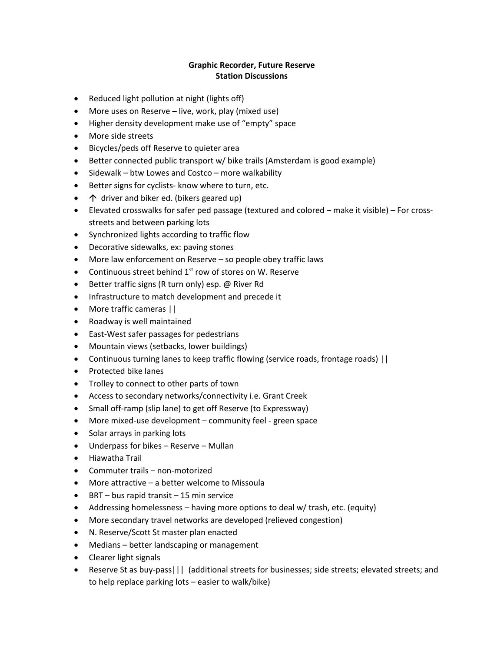## **Graphic Recorder, Future Reserve Station Discussions**

- Reduced light pollution at night (lights off)
- More uses on Reserve live, work, play (mixed use)
- Higher density development make use of "empty" space
- More side streets
- Bicycles/peds off Reserve to quieter area
- Better connected public transport w/ bike trails (Amsterdam is good example)
- Sidewalk btw Lowes and Costco more walkability
- Better signs for cyclists- know where to turn, etc.
- $\uparrow$  driver and biker ed. (bikers geared up)
- Elevated crosswalks for safer ped passage (textured and colored make it visible) For crossstreets and between parking lots
- Synchronized lights according to traffic flow
- Decorative sidewalks, ex: paving stones
- More law enforcement on Reserve so people obey traffic laws
- Continuous street behind  $1<sup>st</sup>$  row of stores on W. Reserve
- Better traffic signs (R turn only) esp. @ River Rd
- Infrastructure to match development and precede it
- More traffic cameras ||
- Roadway is well maintained
- East-West safer passages for pedestrians
- Mountain views (setbacks, lower buildings)
- Continuous turning lanes to keep traffic flowing (service roads, frontage roads) ||
- Protected bike lanes
- Trolley to connect to other parts of town
- Access to secondary networks/connectivity i.e. Grant Creek
- Small off-ramp (slip lane) to get off Reserve (to Expressway)
- More mixed-use development community feel green space
- Solar arrays in parking lots
- Underpass for bikes Reserve Mullan
- Hiawatha Trail
- Commuter trails non-motorized
- More attractive a better welcome to Missoula
- BRT bus rapid transit 15 min service
- Addressing homelessness having more options to deal w/ trash, etc. (equity)
- More secondary travel networks are developed (relieved congestion)
- N. Reserve/Scott St master plan enacted
- Medians better landscaping or management
- Clearer light signals
- Reserve St as buy-pass | | | (additional streets for businesses; side streets; elevated streets; and to help replace parking lots – easier to walk/bike)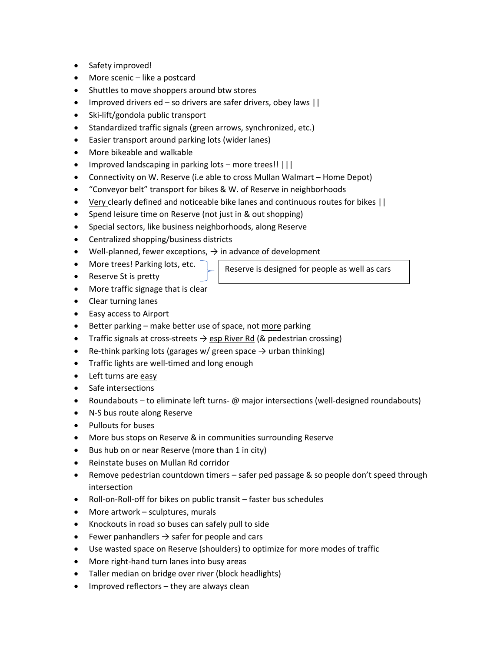- Safety improved!
- More scenic like a postcard
- Shuttles to move shoppers around btw stores
- Improved drivers ed so drivers are safer drivers, obey laws ||
- Ski-lift/gondola public transport
- Standardized traffic signals (green arrows, synchronized, etc.)
- Easier transport around parking lots (wider lanes)
- More bikeable and walkable
- Improved landscaping in parking lots more trees!! |||
- Connectivity on W. Reserve (i.e able to cross Mullan Walmart Home Depot)
- "Conveyor belt" transport for bikes & W. of Reserve in neighborhoods
- Very clearly defined and noticeable bike lanes and continuous routes for bikes ||
- Spend leisure time on Reserve (not just in & out shopping)
- Special sectors, like business neighborhoods, along Reserve
- Centralized shopping/business districts
- Well-planned, fewer exceptions,  $\rightarrow$  in advance of development
- More trees! Parking lots, etc.
- Reserve St is pretty

Reserve is designed for people as well as cars

- More traffic signage that is clear
- Clear turning lanes
- Easy access to Airport
- Better parking make better use of space, not more parking
- Traffic signals at cross-streets  $\rightarrow$  esp River Rd (& pedestrian crossing)
- Re-think parking lots (garages w/ green space  $\rightarrow$  urban thinking)
- Traffic lights are well-timed and long enough
- Left turns are easy
- Safe intersections
- Roundabouts to eliminate left turns- $\varphi$  major intersections (well-designed roundabouts)
- N-S bus route along Reserve
- Pullouts for buses
- More bus stops on Reserve & in communities surrounding Reserve
- Bus hub on or near Reserve (more than 1 in city)
- Reinstate buses on Mullan Rd corridor
- Remove pedestrian countdown timers safer ped passage & so people don't speed through intersection
- Roll-on-Roll-off for bikes on public transit faster bus schedules
- More artwork sculptures, murals
- Knockouts in road so buses can safely pull to side
- Fewer panhandlers  $\rightarrow$  safer for people and cars
- Use wasted space on Reserve (shoulders) to optimize for more modes of traffic
- More right-hand turn lanes into busy areas
- Taller median on bridge over river (block headlights)
- Improved reflectors they are always clean